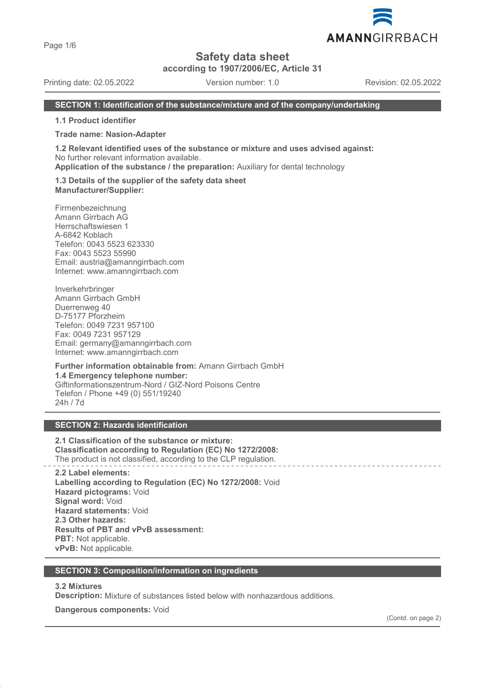Page 1/6

# **Safety data sheet**

**according to 1907/2006/EC, Article 31**

Printing date: 02.05.2022 Version number: 1.0 Revision: 02.05.2022

#### **SECTION 1: Identification of the substance/mixture and of the company/undertaking**

**1.1 Product identifier**

#### **Trade name: Nasion-Adapter**

**1.2 Relevant identified uses of the substance or mixture and uses advised against:** No further relevant information available.

**Application of the substance / the preparation:** Auxiliary for dental technology

#### **1.3 Details of the supplier of the safety data sheet Manufacturer/Supplier:**

Firmenbezeichnung Amann Girrbach AG Herrschaftswiesen 1 A-6842 Koblach Telefon: 0043 5523 623330 Fax: 0043 5523 55990 Email: austria@amanngirrbach.com Internet: www.amanngirrbach.com

Inverkehrbringer Amann Girrbach GmbH Duerrenweg 40 D-75177 Pforzheim Telefon: 0049 7231 957100 Fax: 0049 7231 957129 Email: germany@amanngirrbach.com Internet: www.amanngirrbach.com

**Further information obtainable from:** Amann Girrbach GmbH **1.4 Emergency telephone number:** Giftinformationszentrum-Nord / GIZ-Nord Poisons Centre Telefon / Phone +49 (0) 551/19240 24h / 7d

## **SECTION 2: Hazards identification**

**2.1 Classification of the substance or mixture: Classification according to Regulation (EC) No 1272/2008:** The product is not classified, according to the CLP regulation.

**2.2 Label elements: Labelling according to Regulation (EC) No 1272/2008:** Void **Hazard pictograms:** Void **Signal word:** Void **Hazard statements:** Void **2.3 Other hazards: Results of PBT and vPvB assessment: PBT:** Not applicable. **vPvB:** Not applicable.

#### **SECTION 3: Composition/information on ingredients**

#### **3.2 Mixtures**

**Description:** Mixture of substances listed below with nonhazardous additions.

**Dangerous components:** Void

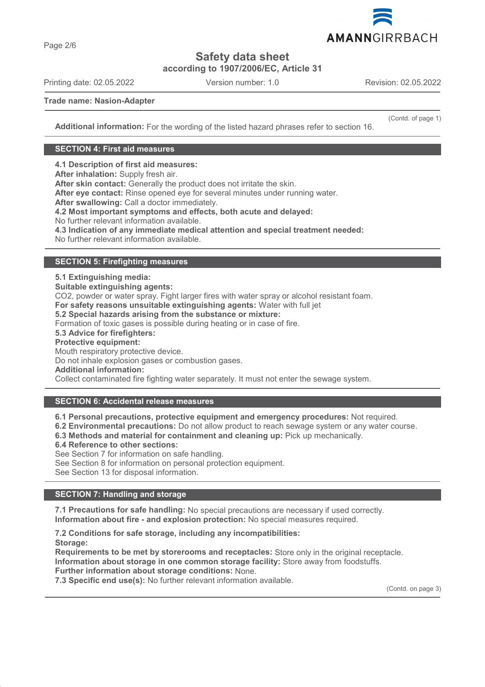

**Safety data sheet**

**according to 1907/2006/EC, Article 31**

Printing date: 02.05.2022 Version number: 1.0 Revision: 02.05.2022

(Contd. of page 1)

**Trade name: Nasion-Adapter**

**Additional information:** For the wording of the listed hazard phrases refer to section 16.

## **SECTION 4: First aid measures**

**4.1 Description of first aid measures:**

**After inhalation:** Supply fresh air.

**After skin contact:** Generally the product does not irritate the skin.

**After eye contact:** Rinse opened eye for several minutes under running water.

**After swallowing:** Call a doctor immediately.

**4.2 Most important symptoms and effects, both acute and delayed:**

No further relevant information available.

**4.3 Indication of any immediate medical attention and special treatment needed:**

No further relevant information available.

## **SECTION 5: Firefighting measures**

**5.1 Extinguishing media: Suitable extinguishing agents:** CO2, powder or water spray. Fight larger fires with water spray or alcohol resistant foam. **For safety reasons unsuitable extinguishing agents:** Water with full jet **5.2 Special hazards arising from the substance or mixture:** Formation of toxic gases is possible during heating or in case of fire. **5.3 Advice for firefighters: Protective equipment:** Mouth respiratory protective device. Do not inhale explosion gases or combustion gases. **Additional information:** Collect contaminated fire fighting water separately. It must not enter the sewage system.

**SECTION 6: Accidental release measures**

**6.1 Personal precautions, protective equipment and emergency procedures:** Not required.

- **6.2 Environmental precautions:** Do not allow product to reach sewage system or any water course.
- **6.3 Methods and material for containment and cleaning up:** Pick up mechanically.

**6.4 Reference to other sections:**

See Section 7 for information on safe handling.

See Section 8 for information on personal protection equipment.

See Section 13 for disposal information.

## **SECTION 7: Handling and storage**

**7.1 Precautions for safe handling:** No special precautions are necessary if used correctly. **Information about fire - and explosion protection:** No special measures required.

**7.2 Conditions for safe storage, including any incompatibilities: Storage: Requirements to be met by storerooms and receptacles:** Store only in the original receptacle. **Information about storage in one common storage facility:** Store away from foodstuffs. **Further information about storage conditions:** None.

**7.3 Specific end use(s):** No further relevant information available.

(Contd. on page 3)

Page 2/6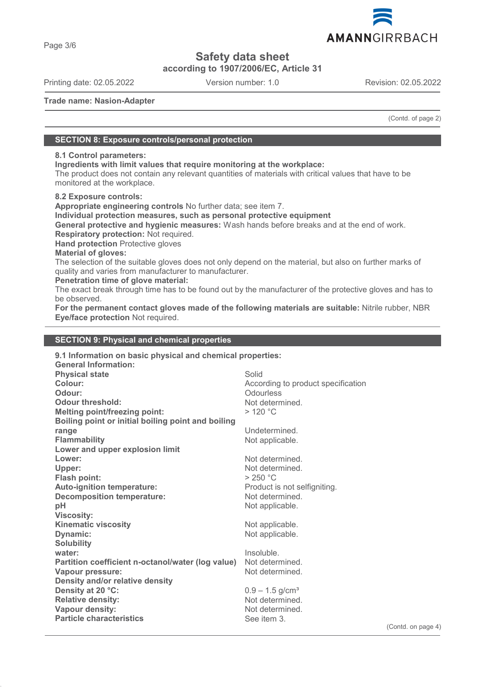

**Safety data sheet**

**according to 1907/2006/EC, Article 31**

Printing date: 02.05.2022 Version number: 1.0 Revision: 02.05.2022

AMANNGIRRBACH

**Trade name: Nasion-Adapter**

(Contd. of page 2)

### **SECTION 8: Exposure controls/personal protection**

## **8.1 Control parameters:**

**Ingredients with limit values that require monitoring at the workplace:**

The product does not contain any relevant quantities of materials with critical values that have to be monitored at the workplace.

**8.2 Exposure controls:**

**Appropriate engineering controls** No further data; see item 7.

**Individual protection measures, such as personal protective equipment**

**General protective and hygienic measures:** Wash hands before breaks and at the end of work.

**Respiratory protection:** Not required.

**Hand protection** Protective gloves

**Material of gloves:**

The selection of the suitable gloves does not only depend on the material, but also on further marks of quality and varies from manufacturer to manufacturer.

**Penetration time of glove material:**

The exact break through time has to be found out by the manufacturer of the protective gloves and has to be observed.

**For the permanent contact gloves made of the following materials are suitable:** Nitrile rubber, NBR **Eye/face protection** Not required.

## **SECTION 9: Physical and chemical properties**

| 9.1 Information on basic physical and chemical properties: |                                    |  |
|------------------------------------------------------------|------------------------------------|--|
| <b>General Information:</b>                                |                                    |  |
| <b>Physical state</b>                                      | Solid                              |  |
| Colour:                                                    | According to product specification |  |
| Odour:                                                     | Odourless                          |  |
| Odour threshold:                                           | Not determined.                    |  |
| <b>Melting point/freezing point:</b>                       | >120 °C                            |  |
| Boiling point or initial boiling point and boiling         |                                    |  |
| range                                                      | Undetermined.                      |  |
| <b>Flammability</b>                                        | Not applicable.                    |  |
| Lower and upper explosion limit                            |                                    |  |
| Lower:                                                     | Not determined.                    |  |
| Upper:                                                     | Not determined.                    |  |
| <b>Flash point:</b>                                        | > 250 °C                           |  |
| <b>Auto-ignition temperature:</b>                          | Product is not selfigniting.       |  |
| <b>Decomposition temperature:</b>                          | Not determined.                    |  |
| pH                                                         | Not applicable.                    |  |
| <b>Viscosity:</b>                                          |                                    |  |
| <b>Kinematic viscosity</b>                                 | Not applicable.                    |  |
| Dynamic:                                                   | Not applicable.                    |  |
| <b>Solubility</b>                                          |                                    |  |
| water:                                                     | Insoluble.                         |  |
| Partition coefficient n-octanol/water (log value)          | Not determined.                    |  |
| Vapour pressure:                                           | Not determined.                    |  |
| Density and/or relative density                            |                                    |  |
| Density at 20 °C:                                          | $0.9 - 1.5$ g/cm <sup>3</sup>      |  |
| <b>Relative density:</b>                                   | Not determined.                    |  |
| Vapour density:                                            | Not determined.                    |  |
| <b>Particle characteristics</b>                            | See item 3.                        |  |
|                                                            |                                    |  |

(Contd. on page 4)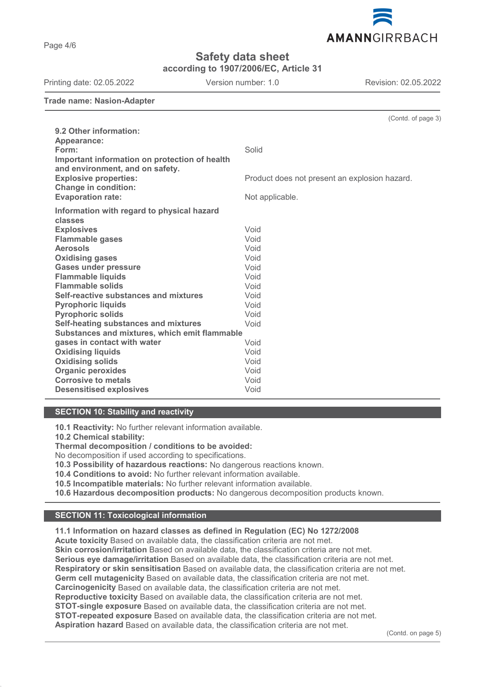Page 4/6

# **Safety data sheet**

**according to 1907/2006/EC, Article 31**

Printing date: 02.05.2022 Version number: 1.0 Revision: 02.05.2022 **Trade name: Nasion-Adapter** (Contd. of page 3) **9.2 Other information: Appearance:**

**Form:** Solid **Important information on protection of health and environment, and on safety. Explosive properties:** explosive product an explosion hazard. **Change in condition: Evaporation rate:** Not applicable. **Information with regard to physical hazard classes Explosives** Void **Flammable gases Aerosols** Void **Oxidising gases** Void **Gases under pressure** Void **Flammable liquids** Void **Flammable solids** Void **Self-reactive substances and mixtures** Void **Pyrophoric liquids** Void Pyrophoric solids **Void Self-heating substances and mixtures** Void **Substances and mixtures, which emit flammable gases in contact with water variable and variable values** Void Void Oxidising liquids **Oxidising liquids** Void **Oxidising solids Organic peroxides** Void **Corrosive to metals** Void<br> **Desensitised explosives** Void **Desensitised explosives** 

## **SECTION 10: Stability and reactivity**

**10.1 Reactivity:** No further relevant information available.

**10.2 Chemical stability:**

**Thermal decomposition / conditions to be avoided:**

No decomposition if used according to specifications.

**10.3 Possibility of hazardous reactions:** No dangerous reactions known.

**10.4 Conditions to avoid:** No further relevant information available.

**10.5 Incompatible materials:** No further relevant information available.

**10.6 Hazardous decomposition products:** No dangerous decomposition products known.

## **SECTION 11: Toxicological information**

## **11.1 Information on hazard classes as defined in Regulation (EC) No 1272/2008**

**Acute toxicity** Based on available data, the classification criteria are not met. **Skin corrosion/irritation** Based on available data, the classification criteria are not met. **Serious eye damage/irritation** Based on available data, the classification criteria are not met. **Respiratory or skin sensitisation** Based on available data, the classification criteria are not met. **Germ cell mutagenicity** Based on available data, the classification criteria are not met. **Carcinogenicity** Based on available data, the classification criteria are not met. **Reproductive toxicity** Based on available data, the classification criteria are not met. **STOT-single exposure** Based on available data, the classification criteria are not met. **STOT-repeated exposure** Based on available data, the classification criteria are not met. **Aspiration hazard** Based on available data, the classification criteria are not met.

(Contd. on page 5)

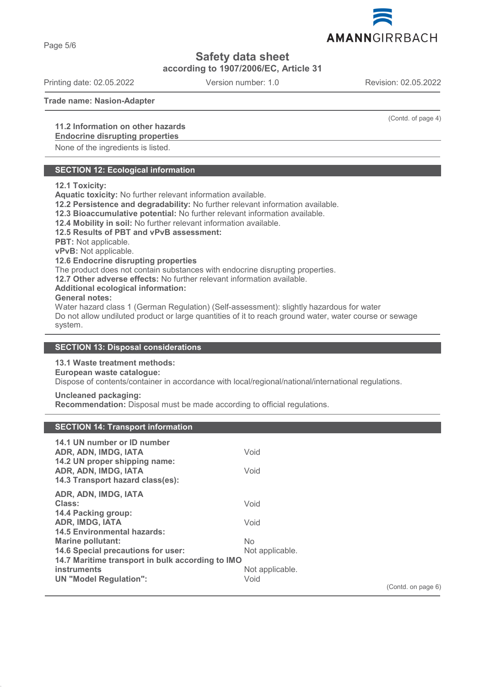Page 5/6

**Safety data sheet**

**according to 1907/2006/EC, Article 31**

Printing date: 02.05.2022 Version number: 1.0 Revision: 02.05.2022

**Trade name: Nasion-Adapter**

## **11.2 Information on other hazards**

## **Endocrine disrupting properties**

None of the ingredients is listed.

## **SECTION 12: Ecological information**

#### **12.1 Toxicity:**

**Aquatic toxicity:** No further relevant information available.

**12.2 Persistence and degradability:** No further relevant information available.

**12.3 Bioaccumulative potential:** No further relevant information available.

**12.4 Mobility in soil:** No further relevant information available.

## **12.5 Results of PBT and vPvB assessment:**

**PBT:** Not applicable.

**vPvB:** Not applicable.

#### **12.6 Endocrine disrupting properties**

The product does not contain substances with endocrine disrupting properties.

**12.7 Other adverse effects:** No further relevant information available.

#### **Additional ecological information:**

#### **General notes:**

Water hazard class 1 (German Regulation) (Self-assessment): slightly hazardous for water Do not allow undiluted product or large quantities of it to reach ground water, water course or sewage system.

### **SECTION 13: Disposal considerations**

### **13.1 Waste treatment methods:**

**European waste catalogue:**

**Uncleaned packaging:**

Dispose of contents/container in accordance with local/regional/national/international regulations.

## **Recommendation:** Disposal must be made according to official regulations.

### **SECTION 14: Transport information**

| 14.1 UN number or ID number                           |                 |                    |
|-------------------------------------------------------|-----------------|--------------------|
| ADR, ADN, IMDG, IATA<br>14.2 UN proper shipping name: | Void            |                    |
| ADR, ADN, IMDG, IATA                                  | Void            |                    |
| 14.3 Transport hazard class(es):                      |                 |                    |
| ADR, ADN, IMDG, IATA                                  |                 |                    |
| Class:                                                | Void            |                    |
| 14.4 Packing group:                                   |                 |                    |
| <b>ADR, IMDG, IATA</b>                                | Void            |                    |
| <b>14.5 Environmental hazards:</b>                    |                 |                    |
| Marine pollutant:                                     | No.             |                    |
| 14.6 Special precautions for user:                    | Not applicable. |                    |
| 14.7 Maritime transport in bulk according to IMO      |                 |                    |
| instruments                                           | Not applicable. |                    |
| <b>UN "Model Regulation":</b>                         | Void            |                    |
|                                                       |                 | (Contd. on page 6) |



(Contd. of page 4)